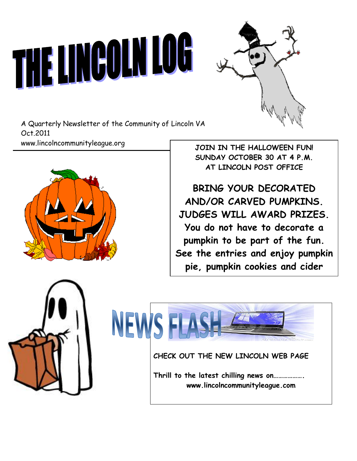# THE LINCOLN LOG



A Quarterly Newsletter of the Community of Lincoln VA Oct.2011 www.lincolncommunityleague.org



**JOIN IN THE HALLOWEEN FUN! SUNDAY OCTOBER 30 AT 4 P.M. AT LINCOLN POST OFFICE**

**BRING YOUR DECORATED AND/OR CARVED PUMPKINS. JUDGES WILL AWARD PRIZES. You do not have to decorate a pumpkin to be part of the fun. See the entries and enjoy pumpkin pie, pumpkin cookies and cider** 



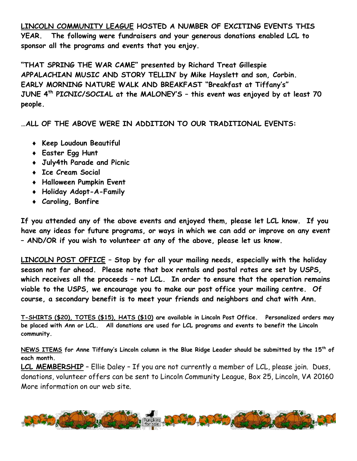**LINCOLN COMMUNITY LEAGUE HOSTED A NUMBER OF EXCITING EVENTS THIS YEAR. The following were fundraisers and your generous donations enabled LCL to sponsor all the programs and events that you enjoy.**

**"THAT SPRING THE WAR CAME" presented by Richard Treat Gillespie APPALACHIAN MUSIC AND STORY TELLIN' by Mike Hayslett and son, Corbin. EARLY MORNING NATURE WALK AND BREAKFAST "Breakfast at Tiffany's" JUNE 4th PICNIC/SOCIAL at the MALONEY'S – this event was enjoyed by at least 70 people.** 

**…ALL OF THE ABOVE WERE IN ADDITION TO OUR TRADITIONAL EVENTS:**

- **Keep Loudoun Beautiful**
- **Easter Egg Hunt**
- **July4th Parade and Picnic**
- **Ice Cream Social**
- **Halloween Pumpkin Event**
- **Holiday Adopt-A-Family**
- **Caroling, Bonfire**

**If you attended any of the above events and enjoyed them, please let LCL know. If you have any ideas for future programs, or ways in which we can add or improve on any event – AND/OR if you wish to volunteer at any of the above, please let us know.**

**LINCOLN POST OFFICE – Stop by for all your mailing needs, especially with the holiday season not far ahead. Please note that box rentals and postal rates are set by USPS, which receives all the proceeds – not LCL. In order to ensure that the operation remains viable to the USPS, we encourage you to make our post office your mailing centre. Of course, a secondary benefit is to meet your friends and neighbors and chat with Ann.**

**T-SHIRTS (\$20), TOTES (\$15), HATS (\$10) are available in Lincoln Post Office. Personalized orders may be placed with Ann or LCL. All donations are used for LCL programs and events to benefit the Lincoln community.** 

**NEWS ITEMS for Anne Tiffany's Lincoln column in the Blue Ridge Leader should be submitted by the 15th of each month.**

**LCL MEMBERSHIP** – Ellie Daley – If you are not currently a member of LCL, please join. Dues, donations, volunteer offers can be sent to Lincoln Community League, Box 25, Lincoln, VA 20160 More information on our web site.

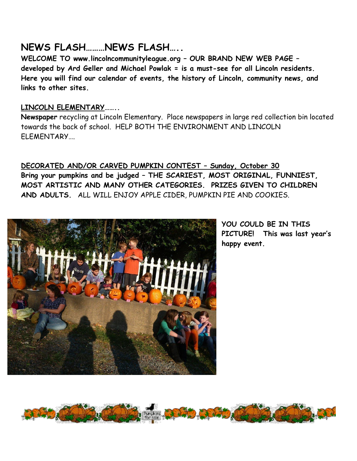# **NEWS FLASH………NEWS FLASH…..**

**WELCOME TO www.lincolncommunityleague.org – OUR BRAND NEW WEB PAGE – developed by Ard Geller and Michael Powlak = is a must-see for all Lincoln residents. Here you will find our calendar of events, the history of Lincoln, community news, and links to other sites.**

# **LINCOLN ELEMENTARY……..**

**Newspaper** recycling at Lincoln Elementary. Place newspapers in large red collection bin located towards the back of school. HELP BOTH THE ENVIRONMENT AND LINCOLN ELEMENTARY….

**DECORATED AND/OR CARVED PUMPKIN CONTEST – Sunday, October 30 Bring your pumpkins and be judged – THE SCARIEST, MOST ORIGINAL, FUNNIEST, MOST ARTISTIC AND MANY OTHER CATEGORIES. PRIZES GIVEN TO CHILDREN AND ADULTS.** ALL WILL ENJOY APPLE CIDER, PUMPKIN PIE AND COOKIES.



**YOU COULD BE IN THIS PICTURE! This was last year's happy event.**